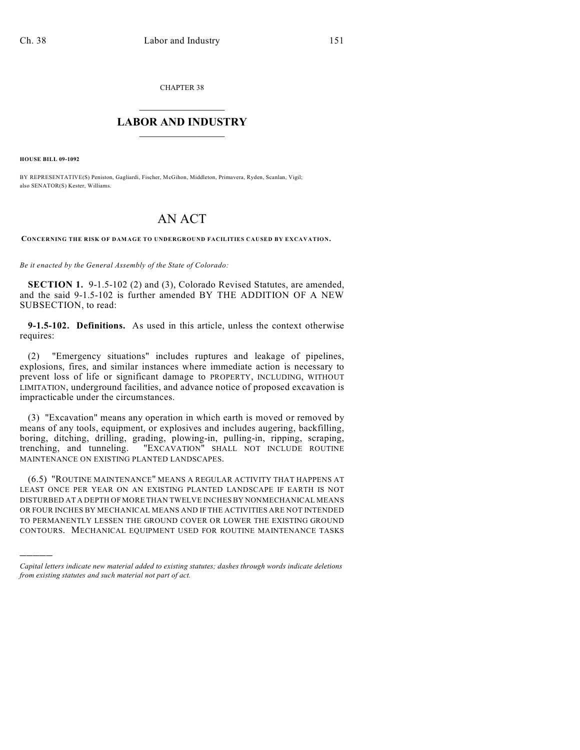CHAPTER 38

## $\overline{\phantom{a}}$  . The set of the set of the set of the set of the set of the set of the set of the set of the set of the set of the set of the set of the set of the set of the set of the set of the set of the set of the set o **LABOR AND INDUSTRY**  $\frac{1}{\sqrt{2}}$  ,  $\frac{1}{\sqrt{2}}$  ,  $\frac{1}{\sqrt{2}}$  ,  $\frac{1}{\sqrt{2}}$  ,  $\frac{1}{\sqrt{2}}$  ,  $\frac{1}{\sqrt{2}}$

**HOUSE BILL 09-1092**

)))))

BY REPRESENTATIVE(S) Peniston, Gagliardi, Fischer, McGihon, Middleton, Primavera, Ryden, Scanlan, Vigil; also SENATOR(S) Kester, Williams.

## AN ACT

**CONCERNING THE RISK OF DAMAGE TO UNDERGROUND FACILITIES CAUSED BY EXCAVATION.**

*Be it enacted by the General Assembly of the State of Colorado:*

**SECTION 1.** 9-1.5-102 (2) and (3), Colorado Revised Statutes, are amended, and the said 9-1.5-102 is further amended BY THE ADDITION OF A NEW SUBSECTION, to read:

**9-1.5-102. Definitions.** As used in this article, unless the context otherwise requires:

(2) "Emergency situations" includes ruptures and leakage of pipelines, explosions, fires, and similar instances where immediate action is necessary to prevent loss of life or significant damage to PROPERTY, INCLUDING, WITHOUT LIMITATION, underground facilities, and advance notice of proposed excavation is impracticable under the circumstances.

(3) "Excavation" means any operation in which earth is moved or removed by means of any tools, equipment, or explosives and includes augering, backfilling, boring, ditching, drilling, grading, plowing-in, pulling-in, ripping, scraping, trenching, and tunneling. "EXCAVATION" SHALL NOT INCLUDE ROUTINE MAINTENANCE ON EXISTING PLANTED LANDSCAPES.

(6.5) "ROUTINE MAINTENANCE" MEANS A REGULAR ACTIVITY THAT HAPPENS AT LEAST ONCE PER YEAR ON AN EXISTING PLANTED LANDSCAPE IF EARTH IS NOT DISTURBED AT A DEPTH OF MORE THAN TWELVE INCHES BY NONMECHANICAL MEANS OR FOUR INCHES BY MECHANICAL MEANS AND IF THE ACTIVITIES ARE NOT INTENDED TO PERMANENTLY LESSEN THE GROUND COVER OR LOWER THE EXISTING GROUND CONTOURS. MECHANICAL EQUIPMENT USED FOR ROUTINE MAINTENANCE TASKS

*Capital letters indicate new material added to existing statutes; dashes through words indicate deletions from existing statutes and such material not part of act.*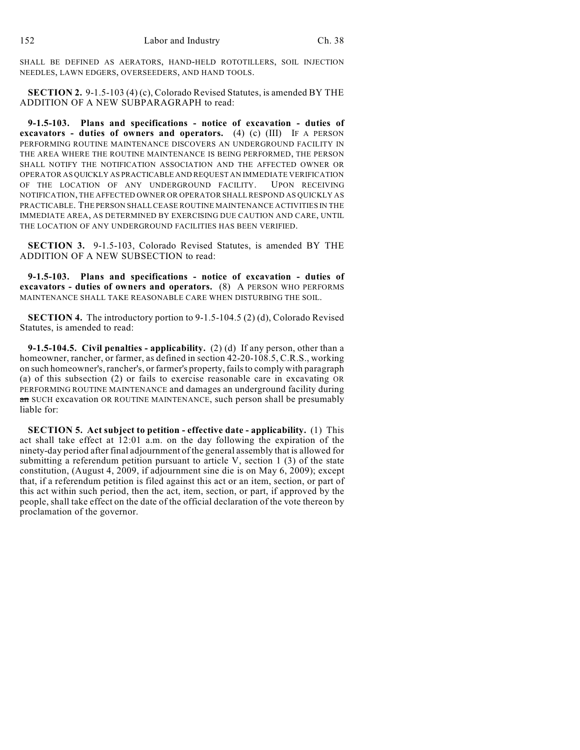SHALL BE DEFINED AS AERATORS, HAND-HELD ROTOTILLERS, SOIL INJECTION NEEDLES, LAWN EDGERS, OVERSEEDERS, AND HAND TOOLS.

**SECTION 2.** 9-1.5-103 (4) (c), Colorado Revised Statutes, is amended BY THE ADDITION OF A NEW SUBPARAGRAPH to read:

**9-1.5-103. Plans and specifications - notice of excavation - duties of excavators - duties of owners and operators.** (4) (c) (III) IF A PERSON PERFORMING ROUTINE MAINTENANCE DISCOVERS AN UNDERGROUND FACILITY IN THE AREA WHERE THE ROUTINE MAINTENANCE IS BEING PERFORMED, THE PERSON SHALL NOTIFY THE NOTIFICATION ASSOCIATION AND THE AFFECTED OWNER OR OPERATOR AS QUICKLY AS PRACTICABLE AND REQUEST AN IMMEDIATE VERIFICATION OF THE LOCATION OF ANY UNDERGROUND FACILITY. UPON RECEIVING NOTIFICATION, THE AFFECTED OWNER OR OPERATOR SHALL RESPOND AS QUICKLY AS PRACTICABLE. THE PERSON SHALL CEASE ROUTINE MAINTENANCE ACTIVITIES IN THE IMMEDIATE AREA, AS DETERMINED BY EXERCISING DUE CAUTION AND CARE, UNTIL THE LOCATION OF ANY UNDERGROUND FACILITIES HAS BEEN VERIFIED.

**SECTION 3.** 9-1.5-103, Colorado Revised Statutes, is amended BY THE ADDITION OF A NEW SUBSECTION to read:

**9-1.5-103. Plans and specifications - notice of excavation - duties of excavators - duties of owners and operators.** (8) A PERSON WHO PERFORMS MAINTENANCE SHALL TAKE REASONABLE CARE WHEN DISTURBING THE SOIL.

**SECTION 4.** The introductory portion to 9-1.5-104.5 (2) (d), Colorado Revised Statutes, is amended to read:

**9-1.5-104.5. Civil penalties - applicability.** (2) (d) If any person, other than a homeowner, rancher, or farmer, as defined in section 42-20-108.5, C.R.S., working on such homeowner's, rancher's, or farmer's property, fails to comply with paragraph (a) of this subsection (2) or fails to exercise reasonable care in excavating OR PERFORMING ROUTINE MAINTENANCE and damages an underground facility during an SUCH excavation OR ROUTINE MAINTENANCE, such person shall be presumably liable for:

**SECTION 5. Act subject to petition - effective date - applicability.** (1) This act shall take effect at 12:01 a.m. on the day following the expiration of the ninety-day period after final adjournment of the general assembly that is allowed for submitting a referendum petition pursuant to article V, section 1 (3) of the state constitution, (August 4, 2009, if adjournment sine die is on May 6, 2009); except that, if a referendum petition is filed against this act or an item, section, or part of this act within such period, then the act, item, section, or part, if approved by the people, shall take effect on the date of the official declaration of the vote thereon by proclamation of the governor.